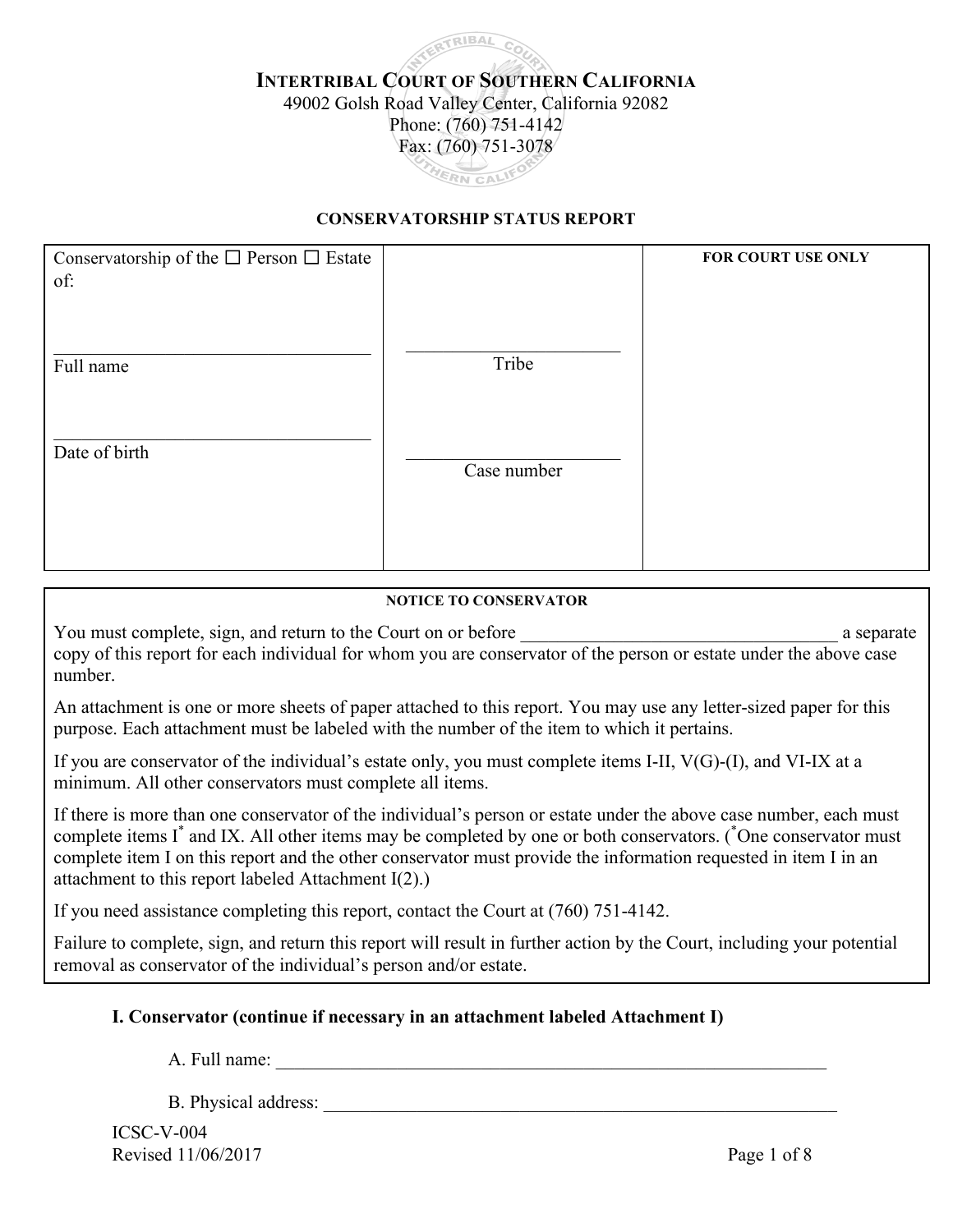# **ATRIBAL INTERTRIBAL COURT OF SOUTHERN CALIFORNIA** 49002 Golsh Road Valley Center, California 92082 Phone: (760) 751-4142 Fax: (760) 751-3078 THERN CALIFO

#### **CONSERVATORSHIP STATUS REPORT**

| Conservatorship of the $\square$ Person $\square$ Estate<br>of: |             | FOR COURT USE ONLY |
|-----------------------------------------------------------------|-------------|--------------------|
| Full name                                                       | Tribe       |                    |
| Date of birth                                                   | Case number |                    |
|                                                                 |             |                    |

#### **NOTICE TO CONSERVATOR**

You must complete, sign, and return to the Court on or before \_\_\_\_\_\_\_\_\_\_\_\_\_\_\_\_\_\_\_\_\_\_\_\_\_\_\_\_\_\_\_\_\_\_ a separate copy of this report for each individual for whom you are conservator of the person or estate under the above case number.

An attachment is one or more sheets of paper attached to this report. You may use any letter-sized paper for this purpose. Each attachment must be labeled with the number of the item to which it pertains.

If you are conservator of the individual's estate only, you must complete items I-II, V(G)-(I), and VI-IX at a minimum. All other conservators must complete all items.

If there is more than one conservator of the individual's person or estate under the above case number, each must complete items I<sup>\*</sup> and IX. All other items may be completed by one or both conservators. (<sup>\*</sup>One conservator must complete item I on this report and the other conservator must provide the information requested in item I in an attachment to this report labeled Attachment I(2).)

If you need assistance completing this report, contact the Court at (760) 751-4142.

Failure to complete, sign, and return this report will result in further action by the Court, including your potential removal as conservator of the individual's person and/or estate.

#### **I. Conservator (continue if necessary in an attachment labeled Attachment I)**

A. Full name:

B. Physical address: \_\_\_\_\_\_\_\_\_\_\_\_\_\_\_\_\_\_\_\_\_\_\_\_\_\_\_\_\_\_\_\_\_\_\_\_\_\_\_\_\_\_\_\_\_\_\_\_\_\_\_\_\_\_\_

ICSC-V-004 Revised 11/06/2017 Page 1 of 8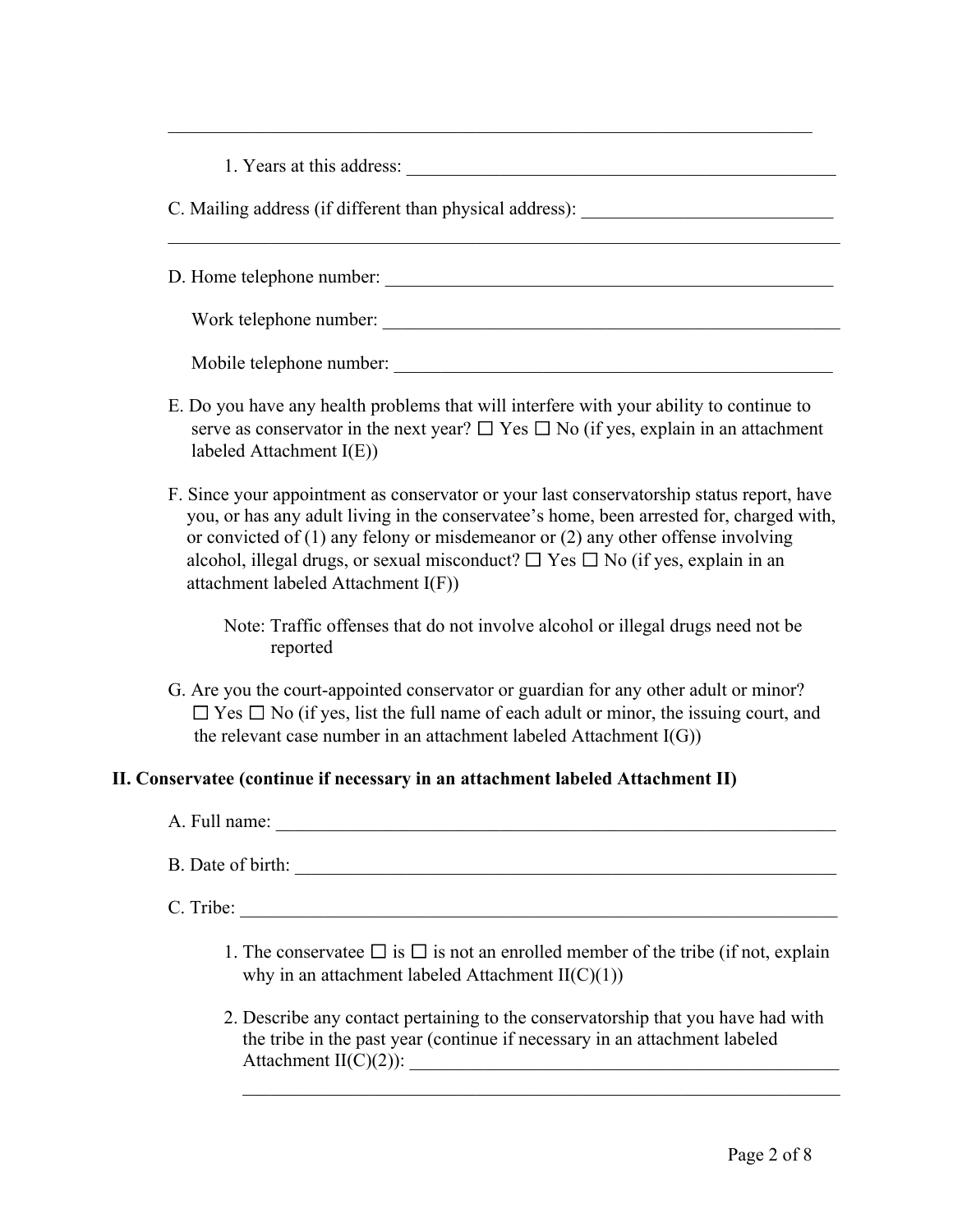| 1. Years at this address: |  |
|---------------------------|--|
|---------------------------|--|

C. Mailing address (if different than physical address):

D. Home telephone number: \_\_\_\_\_\_\_\_\_\_\_\_\_\_\_\_\_\_\_\_\_\_\_\_\_\_\_\_\_\_\_\_\_\_\_\_\_\_\_\_\_\_\_\_\_\_\_\_

 $\mathcal{L}_\text{max} = \mathcal{L}_\text{max} = \mathcal{L}_\text{max} = \mathcal{L}_\text{max} = \mathcal{L}_\text{max} = \mathcal{L}_\text{max} = \mathcal{L}_\text{max} = \mathcal{L}_\text{max} = \mathcal{L}_\text{max} = \mathcal{L}_\text{max} = \mathcal{L}_\text{max} = \mathcal{L}_\text{max} = \mathcal{L}_\text{max} = \mathcal{L}_\text{max} = \mathcal{L}_\text{max} = \mathcal{L}_\text{max} = \mathcal{L}_\text{max} = \mathcal{L}_\text{max} = \mathcal{$ 

 $\mathcal{L}_\mathcal{L} = \mathcal{L}_\mathcal{L} = \mathcal{L}_\mathcal{L} = \mathcal{L}_\mathcal{L} = \mathcal{L}_\mathcal{L} = \mathcal{L}_\mathcal{L} = \mathcal{L}_\mathcal{L} = \mathcal{L}_\mathcal{L} = \mathcal{L}_\mathcal{L} = \mathcal{L}_\mathcal{L} = \mathcal{L}_\mathcal{L} = \mathcal{L}_\mathcal{L} = \mathcal{L}_\mathcal{L} = \mathcal{L}_\mathcal{L} = \mathcal{L}_\mathcal{L} = \mathcal{L}_\mathcal{L} = \mathcal{L}_\mathcal{L}$ 

Work telephone number: \_\_\_\_\_\_\_\_\_\_\_\_\_\_\_\_\_\_\_\_\_\_\_\_\_\_\_\_\_\_\_\_\_\_\_\_\_\_\_\_\_\_\_\_\_\_\_\_\_

Mobile telephone number: \_\_\_\_\_\_\_\_\_\_\_\_\_\_\_\_\_\_\_\_\_\_\_\_\_\_\_\_\_\_\_\_\_\_\_\_\_\_\_\_\_\_\_\_\_\_\_

- E. Do you have any health problems that will interfere with your ability to continue to serve as conservator in the next year?  $\Box$  Yes  $\Box$  No (if yes, explain in an attachment labeled Attachment I(E))
- F. Since your appointment as conservator or your last conservatorship status report, have you, or has any adult living in the conservatee's home, been arrested for, charged with, or convicted of (1) any felony or misdemeanor or (2) any other offense involving alcohol, illegal drugs, or sexual misconduct?  $\Box$  Yes  $\Box$  No (if yes, explain in an attachment labeled Attachment I(F))

Note: Traffic offenses that do not involve alcohol or illegal drugs need not be reported

G. Are you the court-appointed conservator or guardian for any other adult or minor?  $\Box$  Yes  $\Box$  No (if yes, list the full name of each adult or minor, the issuing court, and the relevant case number in an attachment labeled Attachment  $I(G)$ )

#### **II. Conservatee (continue if necessary in an attachment labeled Attachment II)**

- A. Full name: \_\_\_\_\_\_\_\_\_\_\_\_\_\_\_\_\_\_\_\_\_\_\_\_\_\_\_\_\_\_\_\_\_\_\_\_\_\_\_\_\_\_\_\_\_\_\_\_\_\_\_\_\_\_\_\_\_\_\_\_
- B. Date of birth:

 $C.$  Tribe:

- 1. The conservatee  $\Box$  is  $\Box$  is not an enrolled member of the tribe (if not, explain why in an attachment labeled Attachment  $II(C)(1))$
- 2. Describe any contact pertaining to the conservatorship that you have had with the tribe in the past year (continue if necessary in an attachment labeled Attachment  $II(C)(2)$ :

 $\mathcal{L}_\text{max} = \frac{1}{2} \sum_{i=1}^{n} \frac{1}{2} \sum_{i=1}^{n} \frac{1}{2} \sum_{i=1}^{n} \frac{1}{2} \sum_{i=1}^{n} \frac{1}{2} \sum_{i=1}^{n} \frac{1}{2} \sum_{i=1}^{n} \frac{1}{2} \sum_{i=1}^{n} \frac{1}{2} \sum_{i=1}^{n} \frac{1}{2} \sum_{i=1}^{n} \frac{1}{2} \sum_{i=1}^{n} \frac{1}{2} \sum_{i=1}^{n} \frac{1}{2} \sum_{i=1}^{n} \frac{1$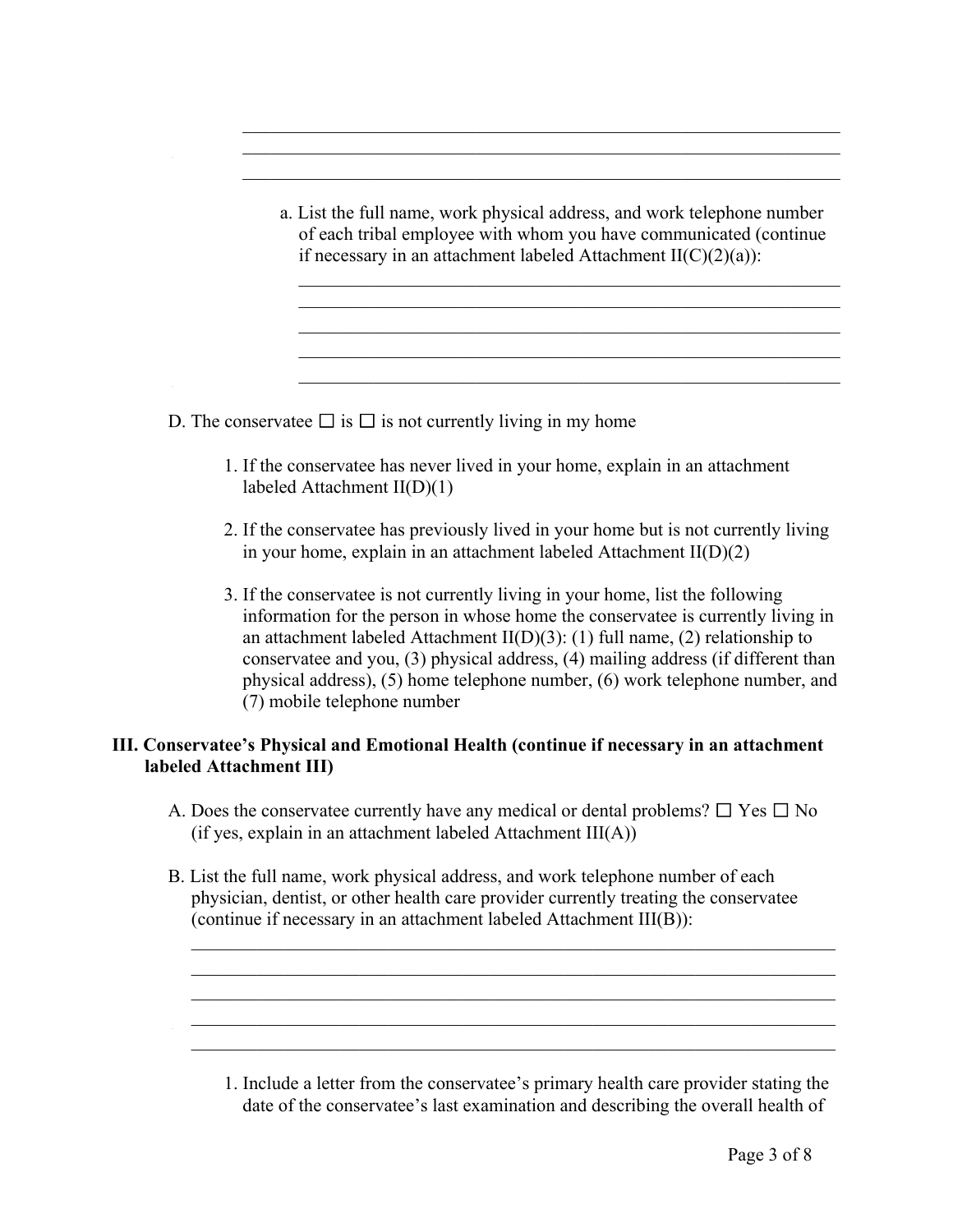a. List the full name, work physical address, and work telephone number of each tribal employee with whom you have communicated (continue if necessary in an attachment labeled Attachment  $II(C)(2)(a)$ :

 $\mathcal{L}_\text{max}$  , and the contribution of the contribution of the contribution of the contribution of the contribution of the contribution of the contribution of the contribution of the contribution of the contribution of t

 $\mathcal{L}_\text{max} = \frac{1}{2} \sum_{i=1}^n \mathcal{L}_\text{max}(\mathbf{z}_i - \mathbf{z}_i)$  $\frac{1}{2}$  , the contribution of the contribution of the contribution of the contribution of the contribution of the contribution of the contribution of the contribution of the contribution of the contribution of the contr  $\mathcal{L}_\text{max} = \frac{1}{2} \sum_{i=1}^n \mathcal{L}_\text{max}(\mathbf{z}_i - \mathbf{z}_i)$ 

 $\mathcal{L}_\text{max}$  , and the contract of the contract of the contract of the contract of the contract of the contract of the contract of the contract of the contract of the contract of the contract of the contract of the contr

 $\mathcal{L}_\text{max}$  , and the contract of the contract of the contract of the contract of the contract of the contract of the contract of the contract of the contract of the contract of the contract of the contract of the contr  $\overline{\phantom{a}}$  ,  $\overline{\phantom{a}}$  ,  $\overline{\phantom{a}}$  ,  $\overline{\phantom{a}}$  ,  $\overline{\phantom{a}}$  ,  $\overline{\phantom{a}}$  ,  $\overline{\phantom{a}}$  ,  $\overline{\phantom{a}}$  ,  $\overline{\phantom{a}}$  ,  $\overline{\phantom{a}}$  ,  $\overline{\phantom{a}}$  ,  $\overline{\phantom{a}}$  ,  $\overline{\phantom{a}}$  ,  $\overline{\phantom{a}}$  ,  $\overline{\phantom{a}}$  ,  $\overline{\phantom{a}}$  $\frac{1}{2}$  , the contribution of the contribution of the contribution of the contribution of the contribution of the contribution of the contribution of the contribution of the contribution of the contribution of the contr

D. The conservatee  $\Box$  is  $\Box$  is not currently living in my home

- 1. If the conservatee has never lived in your home, explain in an attachment labeled Attachment II(D)(1)
- 2. If the conservatee has previously lived in your home but is not currently living in your home, explain in an attachment labeled Attachment II(D)(2)
- 3. If the conservatee is not currently living in your home, list the following information for the person in whose home the conservatee is currently living in an attachment labeled Attachment II(D)(3): (1) full name, (2) relationship to conservatee and you, (3) physical address, (4) mailing address (if different than physical address), (5) home telephone number, (6) work telephone number, and (7) mobile telephone number

### **III. Conservatee's Physical and Emotional Health (continue if necessary in an attachment labeled Attachment III)**

- A. Does the conservatee currently have any medical or dental problems?  $\Box$  Yes  $\Box$  No (if yes, explain in an attachment labeled Attachment III(A))
- B. List the full name, work physical address, and work telephone number of each physician, dentist, or other health care provider currently treating the conservatee (continue if necessary in an attachment labeled Attachment III(B)):

 $\mathcal{L} = \{ \mathcal{L} \mid \mathcal{L} \text{ and } \mathcal{L} \text{ and } \mathcal{L} \}$  $\frac{1}{2}$  ,  $\frac{1}{2}$  ,  $\frac{1}{2}$  ,  $\frac{1}{2}$  ,  $\frac{1}{2}$  ,  $\frac{1}{2}$  ,  $\frac{1}{2}$  ,  $\frac{1}{2}$  ,  $\frac{1}{2}$  ,  $\frac{1}{2}$  ,  $\frac{1}{2}$  ,  $\frac{1}{2}$  ,  $\frac{1}{2}$  ,  $\frac{1}{2}$  ,  $\frac{1}{2}$  ,  $\frac{1}{2}$  ,  $\frac{1}{2}$  ,  $\frac{1}{2}$  ,  $\frac{1$  $\overline{\phantom{a}}$  ,  $\overline{\phantom{a}}$  ,  $\overline{\phantom{a}}$  ,  $\overline{\phantom{a}}$  ,  $\overline{\phantom{a}}$  ,  $\overline{\phantom{a}}$  ,  $\overline{\phantom{a}}$  ,  $\overline{\phantom{a}}$  ,  $\overline{\phantom{a}}$  ,  $\overline{\phantom{a}}$  ,  $\overline{\phantom{a}}$  ,  $\overline{\phantom{a}}$  ,  $\overline{\phantom{a}}$  ,  $\overline{\phantom{a}}$  ,  $\overline{\phantom{a}}$  ,  $\overline{\phantom{a}}$  $\mathcal{L} = \{ \mathcal{L} \mid \mathcal{L} \text{ and } \mathcal{L} \text{ and } \mathcal{L} \}$  $\mathcal{L}_\text{max} = \frac{1}{2} \sum_{i=1}^n \mathcal{L}_\text{max}(\mathbf{z}_i - \mathbf{z}_i)$ 

1. Include a letter from the conservatee's primary health care provider stating the date of the conservatee's last examination and describing the overall health of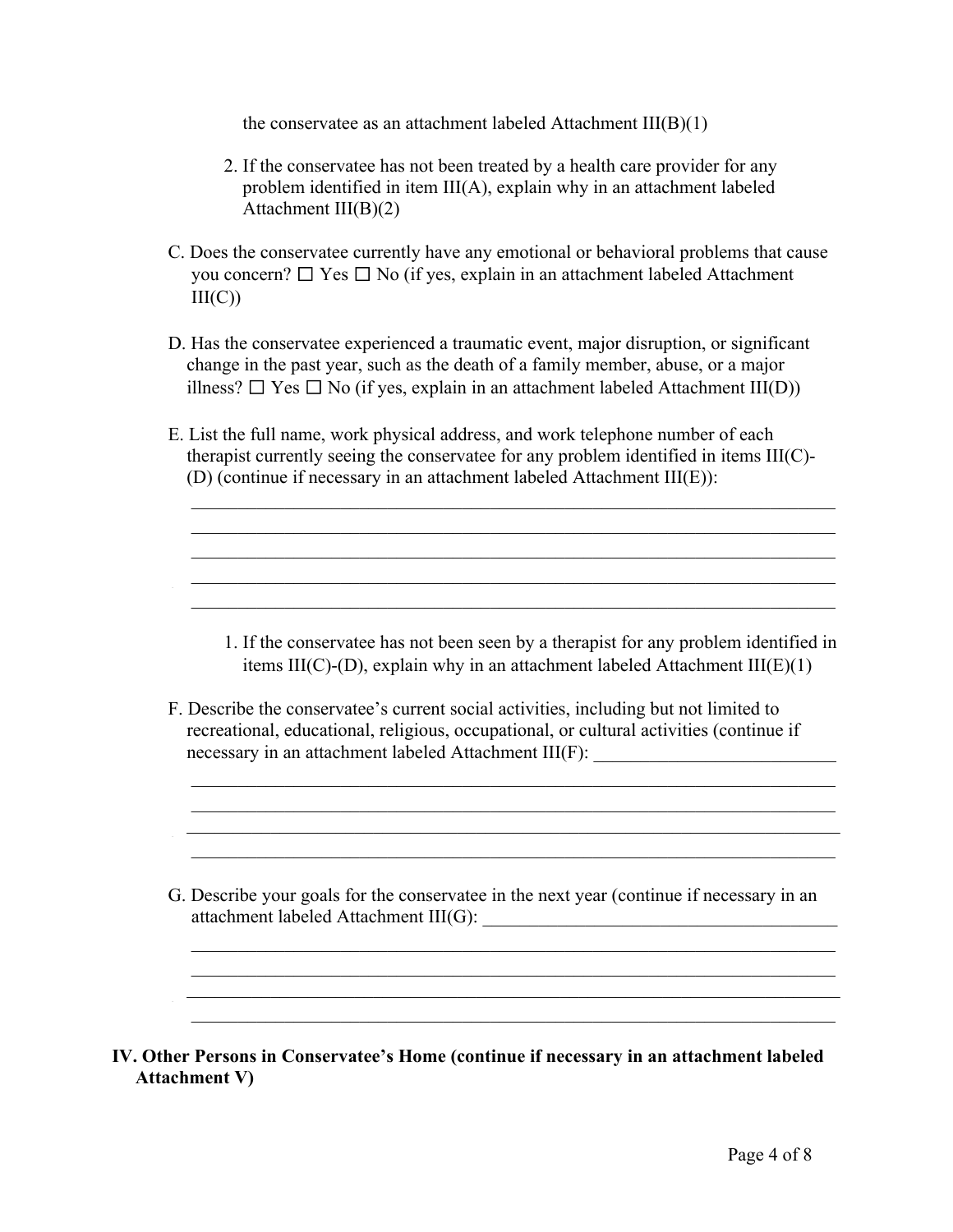the conservatee as an attachment labeled Attachment  $III(B)(1)$ 

- 2. If the conservatee has not been treated by a health care provider for any problem identified in item III(A), explain why in an attachment labeled Attachment III(B)(2)
- C. Does the conservatee currently have any emotional or behavioral problems that cause you concern?  $\Box$  Yes  $\Box$  No (if yes, explain in an attachment labeled Attachment  $III(C)$
- D. Has the conservatee experienced a traumatic event, major disruption, or significant change in the past year, such as the death of a family member, abuse, or a major illness?  $\Box$  Yes  $\Box$  No (if yes, explain in an attachment labeled Attachment III(D))
- E. List the full name, work physical address, and work telephone number of each therapist currently seeing the conservatee for any problem identified in items III(C)- (D) (continue if necessary in an attachment labeled Attachment III(E)):

 $\mathcal{L} = \{ \mathcal{L} \mid \mathcal{L} \text{ and } \mathcal{L} \text{ and } \mathcal{L} \}$  $\mathcal{L} = \{ \mathcal{L} \mid \mathcal{L} \text{ and } \mathcal{L} \text{ and } \mathcal{L} \}$  $\overline{\phantom{a}}$  , and the contribution of the contribution of the contribution of the contribution of the contribution of the contribution of the contribution of the contribution of the contribution of the contribution of the  $\mathcal{L} = \{ \mathcal{L} \mid \mathcal{L} \text{ and } \mathcal{L} \text{ and } \mathcal{L} \}$  $\mathcal{L}_\text{max}$  , and the contribution of the contribution of the contribution of the contribution of the contribution of the contribution of the contribution of the contribution of the contribution of the contribution of t

- 1. If the conservatee has not been seen by a therapist for any problem identified in items III(C)-(D), explain why in an attachment labeled Attachment III( $E$ )(1)
- F. Describe the conservatee's current social activities, including but not limited to recreational, educational, religious, occupational, or cultural activities (continue if necessary in an attachment labeled Attachment III(F):

 $\mathcal{L} = \{ \mathcal{L} \mid \mathcal{L} \text{ and } \mathcal{L} \text{ and } \mathcal{L} \text{ and } \mathcal{L} \text{ and } \mathcal{L} \text{ and } \mathcal{L} \text{ and } \mathcal{L} \text{ and } \mathcal{L} \text{ and } \mathcal{L} \text{ and } \mathcal{L} \text{ and } \mathcal{L} \text{ and } \mathcal{L} \text{ and } \mathcal{L} \text{ and } \mathcal{L} \text{ and } \mathcal{L} \text{ and } \mathcal{L} \text{ and } \mathcal{L} \text{ and } \mathcal{L} \text{ and } \mathcal{L$  $\mathcal{L}_\text{max} = \frac{1}{2} \sum_{i=1}^n \mathcal{L}_\text{max}(\mathbf{z}_i - \mathbf{z}_i)$  $\frac{1}{2}$  ,  $\frac{1}{2}$  ,  $\frac{1}{2}$  ,  $\frac{1}{2}$  ,  $\frac{1}{2}$  ,  $\frac{1}{2}$  ,  $\frac{1}{2}$  ,  $\frac{1}{2}$  ,  $\frac{1}{2}$  ,  $\frac{1}{2}$  ,  $\frac{1}{2}$  ,  $\frac{1}{2}$  ,  $\frac{1}{2}$  ,  $\frac{1}{2}$  ,  $\frac{1}{2}$  ,  $\frac{1}{2}$  ,  $\frac{1}{2}$  ,  $\frac{1}{2}$  ,  $\frac{1$  $\mathcal{L}_\text{max} = \frac{1}{2} \sum_{i=1}^n \mathcal{L}_\text{max}(\mathbf{z}_i - \mathbf{z}_i)$ 

G. Describe your goals for the conservatee in the next year (continue if necessary in an attachment labeled Attachment III(G): \_\_\_\_\_\_\_\_\_\_\_\_\_\_\_\_\_\_\_\_\_\_\_\_\_\_\_\_\_\_\_\_\_\_\_\_\_\_

 $\mathcal{L} = \{ \mathcal{L} \mid \mathcal{L} \text{ and } \mathcal{L} \text{ and } \mathcal{L} \}$  $\mathcal{L}_\text{max}$  , and the contribution of the contribution of the contribution of the contribution of the contribution of the contribution of the contribution of the contribution of the contribution of the contribution of t

 $\mathcal{L}_\text{max}$  , and the contribution of the contribution of the contribution of the contribution of the contribution of the contribution of the contribution of the contribution of the contribution of the contribution of t

\_\_\_\_\_\_\_\_\_\_\_\_\_\_\_\_\_\_\_\_\_\_\_\_\_\_\_\_\_\_\_\_\_\_\_\_\_\_\_\_\_\_\_\_\_\_\_\_\_\_\_\_\_\_\_\_\_\_\_\_\_\_\_\_\_\_\_\_\_\_ \_

**IV. Other Persons in Conservatee's Home (continue if necessary in an attachment labeled Attachment V)**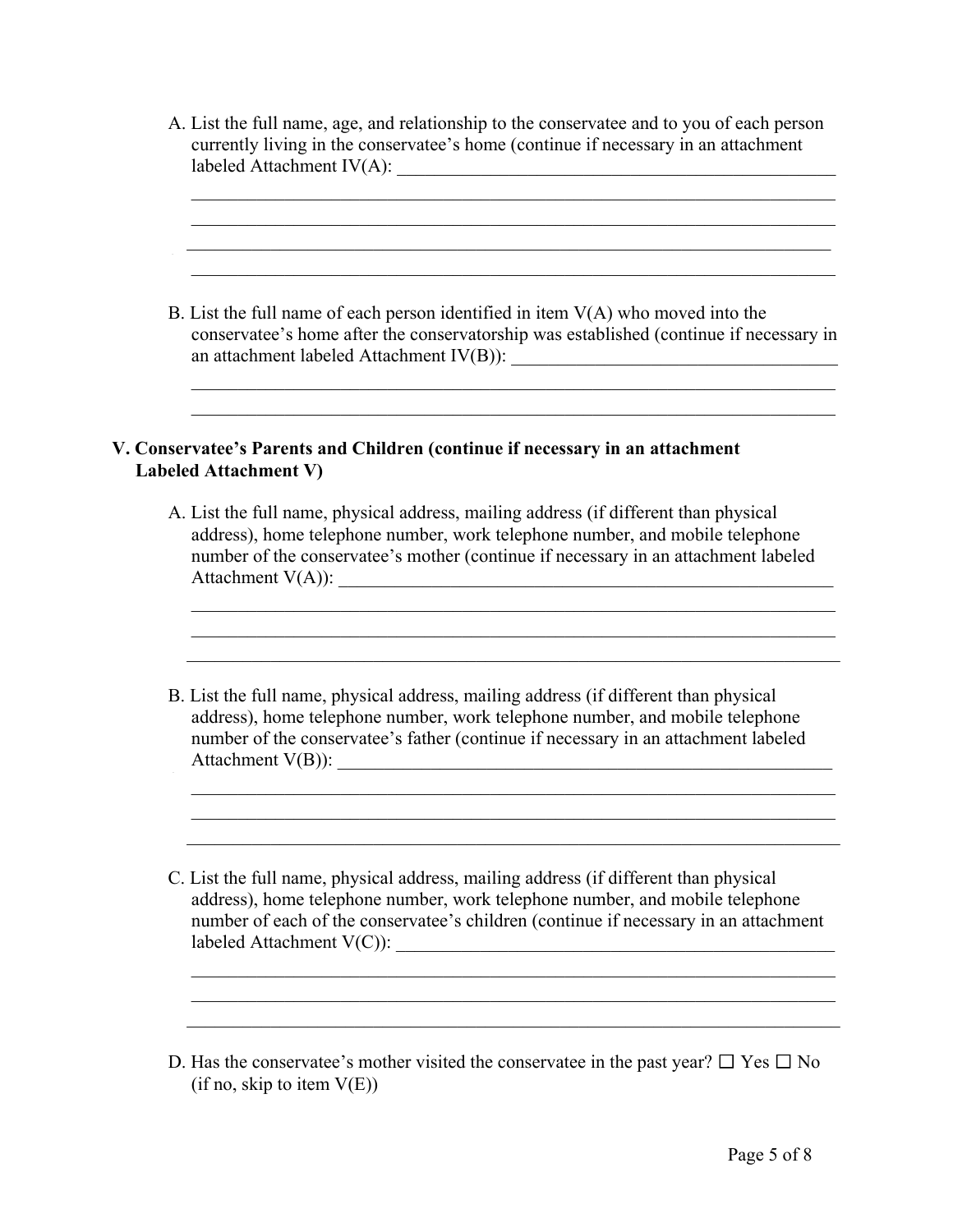A. List the full name, age, and relationship to the conservatee and to you of each person currently living in the conservatee's home (continue if necessary in an attachment labeled Attachment IV(A): \_\_\_\_\_\_\_\_\_\_\_\_\_\_\_\_\_\_\_\_\_\_\_\_\_\_\_\_\_\_\_\_\_\_\_\_\_\_\_\_\_\_\_\_\_\_\_

 $\frac{1}{2}$  ,  $\frac{1}{2}$  ,  $\frac{1}{2}$  ,  $\frac{1}{2}$  ,  $\frac{1}{2}$  ,  $\frac{1}{2}$  ,  $\frac{1}{2}$  ,  $\frac{1}{2}$  ,  $\frac{1}{2}$  ,  $\frac{1}{2}$  ,  $\frac{1}{2}$  ,  $\frac{1}{2}$  ,  $\frac{1}{2}$  ,  $\frac{1}{2}$  ,  $\frac{1}{2}$  ,  $\frac{1}{2}$  ,  $\frac{1}{2}$  ,  $\frac{1}{2}$  ,  $\frac{1$  $\overline{\phantom{a}}$  ,  $\overline{\phantom{a}}$  ,  $\overline{\phantom{a}}$  ,  $\overline{\phantom{a}}$  ,  $\overline{\phantom{a}}$  ,  $\overline{\phantom{a}}$  ,  $\overline{\phantom{a}}$  ,  $\overline{\phantom{a}}$  ,  $\overline{\phantom{a}}$  ,  $\overline{\phantom{a}}$  ,  $\overline{\phantom{a}}$  ,  $\overline{\phantom{a}}$  ,  $\overline{\phantom{a}}$  ,  $\overline{\phantom{a}}$  ,  $\overline{\phantom{a}}$  ,  $\overline{\phantom{a}}$  $\overline{\phantom{a}}$  , and the contract of the contract of the contract of the contract of the contract of the contract of the contract of the contract of the contract of the contract of the contract of the contract of the contrac  $\mathcal{L}_\text{max} = \frac{1}{2} \sum_{i=1}^n \mathcal{L}_\text{max}(\mathbf{z}_i - \mathbf{z}_i)$ 

B. List the full name of each person identified in item  $V(A)$  who moved into the conservatee's home after the conservatorship was established (continue if necessary in an attachment labeled Attachment IV(B)): \_\_\_\_\_\_\_\_\_\_\_\_\_\_\_\_\_\_\_\_\_\_\_\_\_\_\_\_\_\_\_\_\_\_\_

 $\mathcal{L} = \{ \mathcal{L} \mid \mathcal{L} \text{ and } \mathcal{L} \text{ and } \mathcal{L} \}$  $\mathcal{L}_\text{max}$  , and the contribution of the contribution of the contribution of the contribution of the contribution of the contribution of the contribution of the contribution of the contribution of the contribution of t

#### **V. Conservatee's Parents and Children (continue if necessary in an attachment Labeled Attachment V)**

A. List the full name, physical address, mailing address (if different than physical address), home telephone number, work telephone number, and mobile telephone number of the conservatee's mother (continue if necessary in an attachment labeled Attachment V(A)): \_\_\_\_\_\_\_\_\_\_\_\_\_\_\_\_\_\_\_\_\_\_\_\_\_\_\_\_\_\_\_\_\_\_\_\_\_\_\_\_\_\_\_\_\_\_\_\_\_\_\_\_\_

 $\frac{1}{2}$  ,  $\frac{1}{2}$  ,  $\frac{1}{2}$  ,  $\frac{1}{2}$  ,  $\frac{1}{2}$  ,  $\frac{1}{2}$  ,  $\frac{1}{2}$  ,  $\frac{1}{2}$  ,  $\frac{1}{2}$  ,  $\frac{1}{2}$  ,  $\frac{1}{2}$  ,  $\frac{1}{2}$  ,  $\frac{1}{2}$  ,  $\frac{1}{2}$  ,  $\frac{1}{2}$  ,  $\frac{1}{2}$  ,  $\frac{1}{2}$  ,  $\frac{1}{2}$  ,  $\frac{1$  $\frac{1}{2}$  ,  $\frac{1}{2}$  ,  $\frac{1}{2}$  ,  $\frac{1}{2}$  ,  $\frac{1}{2}$  ,  $\frac{1}{2}$  ,  $\frac{1}{2}$  ,  $\frac{1}{2}$  ,  $\frac{1}{2}$  ,  $\frac{1}{2}$  ,  $\frac{1}{2}$  ,  $\frac{1}{2}$  ,  $\frac{1}{2}$  ,  $\frac{1}{2}$  ,  $\frac{1}{2}$  ,  $\frac{1}{2}$  ,  $\frac{1}{2}$  ,  $\frac{1}{2}$  ,  $\frac{1$  $\mathcal{L}_\text{max}$  , and the contribution of the contribution of the contribution of the contribution of the contribution of the contribution of the contribution of the contribution of the contribution of the contribution of t

B. List the full name, physical address, mailing address (if different than physical address), home telephone number, work telephone number, and mobile telephone number of the conservatee's father (continue if necessary in an attachment labeled Attachment V(B)): \_\_\_\_\_\_\_\_\_\_\_\_\_\_\_\_\_\_\_\_\_\_\_\_\_\_\_\_\_\_\_\_\_\_\_\_\_\_\_\_\_\_\_\_\_\_\_\_\_\_\_\_\_ \_

 $\mathcal{L} = \{ \mathcal{L} \mid \mathcal{L} \text{ and } \mathcal{L} \text{ and } \mathcal{L} \}$  $\mathcal{L} = \{ \mathcal{L} \mid \mathcal{L} \text{ and } \mathcal{L} \text{ and } \mathcal{L} \}$  $\mathcal{L}_\text{max}$  , and the contribution of the contribution of the contribution of the contribution of the contribution of the contribution of the contribution of the contribution of the contribution of the contribution of t

C. List the full name, physical address, mailing address (if different than physical address), home telephone number, work telephone number, and mobile telephone number of each of the conservatee's children (continue if necessary in an attachment labeled Attachment V(C)):

 $\frac{1}{2}$  ,  $\frac{1}{2}$  ,  $\frac{1}{2}$  ,  $\frac{1}{2}$  ,  $\frac{1}{2}$  ,  $\frac{1}{2}$  ,  $\frac{1}{2}$  ,  $\frac{1}{2}$  ,  $\frac{1}{2}$  ,  $\frac{1}{2}$  ,  $\frac{1}{2}$  ,  $\frac{1}{2}$  ,  $\frac{1}{2}$  ,  $\frac{1}{2}$  ,  $\frac{1}{2}$  ,  $\frac{1}{2}$  ,  $\frac{1}{2}$  ,  $\frac{1}{2}$  ,  $\frac{1$  $\mathcal{L} = \{ \mathcal{L} \mid \mathcal{L} \text{ and } \mathcal{L} \text{ and } \mathcal{L} \}$  $\mathcal{L}_\text{max}$  , and the contribution of the contribution of the contribution of the contribution of the contribution of the contribution of the contribution of the contribution of the contribution of the contribution of t

D. Has the conservatee's mother visited the conservatee in the past year?  $\Box$  Yes  $\Box$  No  $(i$ f no, skip to item  $V(E)$ )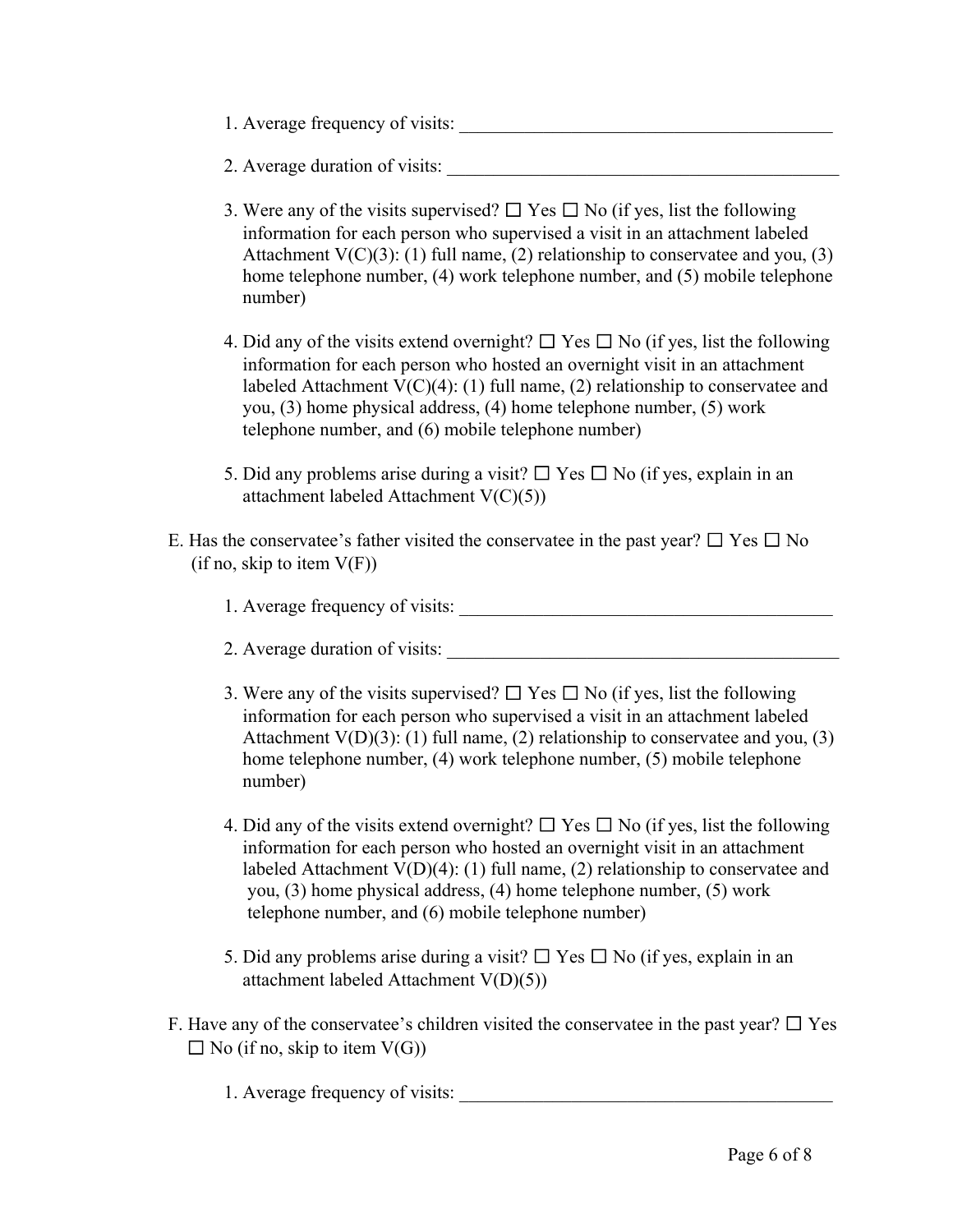- 1. Average frequency of visits:
- 2. Average duration of visits: \_\_\_\_\_\_\_\_\_\_\_\_\_\_\_\_\_\_\_\_\_\_\_\_\_\_\_\_\_\_\_\_\_\_\_\_\_\_\_\_\_\_
- 3. Were any of the visits supervised?  $\Box$  Yes  $\Box$  No (if yes, list the following information for each person who supervised a visit in an attachment labeled Attachment  $V(C)(3)$ : (1) full name, (2) relationship to conservatee and you, (3) home telephone number, (4) work telephone number, and (5) mobile telephone number)
- 4. Did any of the visits extend overnight?  $\Box$  Yes  $\Box$  No (if yes, list the following information for each person who hosted an overnight visit in an attachment labeled Attachment V(C)(4): (1) full name, (2) relationship to conservatee and you, (3) home physical address, (4) home telephone number, (5) work telephone number, and (6) mobile telephone number)
- 5. Did any problems arise during a visit?  $\Box$  Yes  $\Box$  No (if yes, explain in an attachment labeled Attachment V(C)(5))
- E. Has the conservatee's father visited the conservatee in the past year?  $\Box$  Yes  $\Box$  No  $(i$ f no, skip to item  $V(F)$ )
	- 1. Average frequency of visits:
	- 2. Average duration of visits:
	- 3. Were any of the visits supervised?  $\Box$  Yes  $\Box$  No (if yes, list the following information for each person who supervised a visit in an attachment labeled Attachment  $V(D)(3)$ : (1) full name, (2) relationship to conservatee and you, (3) home telephone number, (4) work telephone number, (5) mobile telephone number)
	- 4. Did any of the visits extend overnight?  $\Box$  Yes  $\Box$  No (if yes, list the following information for each person who hosted an overnight visit in an attachment labeled Attachment V(D)(4): (1) full name, (2) relationship to conservatee and you, (3) home physical address, (4) home telephone number, (5) work telephone number, and (6) mobile telephone number)
	- 5. Did any problems arise during a visit?  $\Box$  Yes  $\Box$  No (if yes, explain in an attachment labeled Attachment V(D)(5))
- F. Have any of the conservatee's children visited the conservatee in the past year?  $\Box$  Yes  $\Box$  No (if no, skip to item V(G))
	- 1. Average frequency of visits: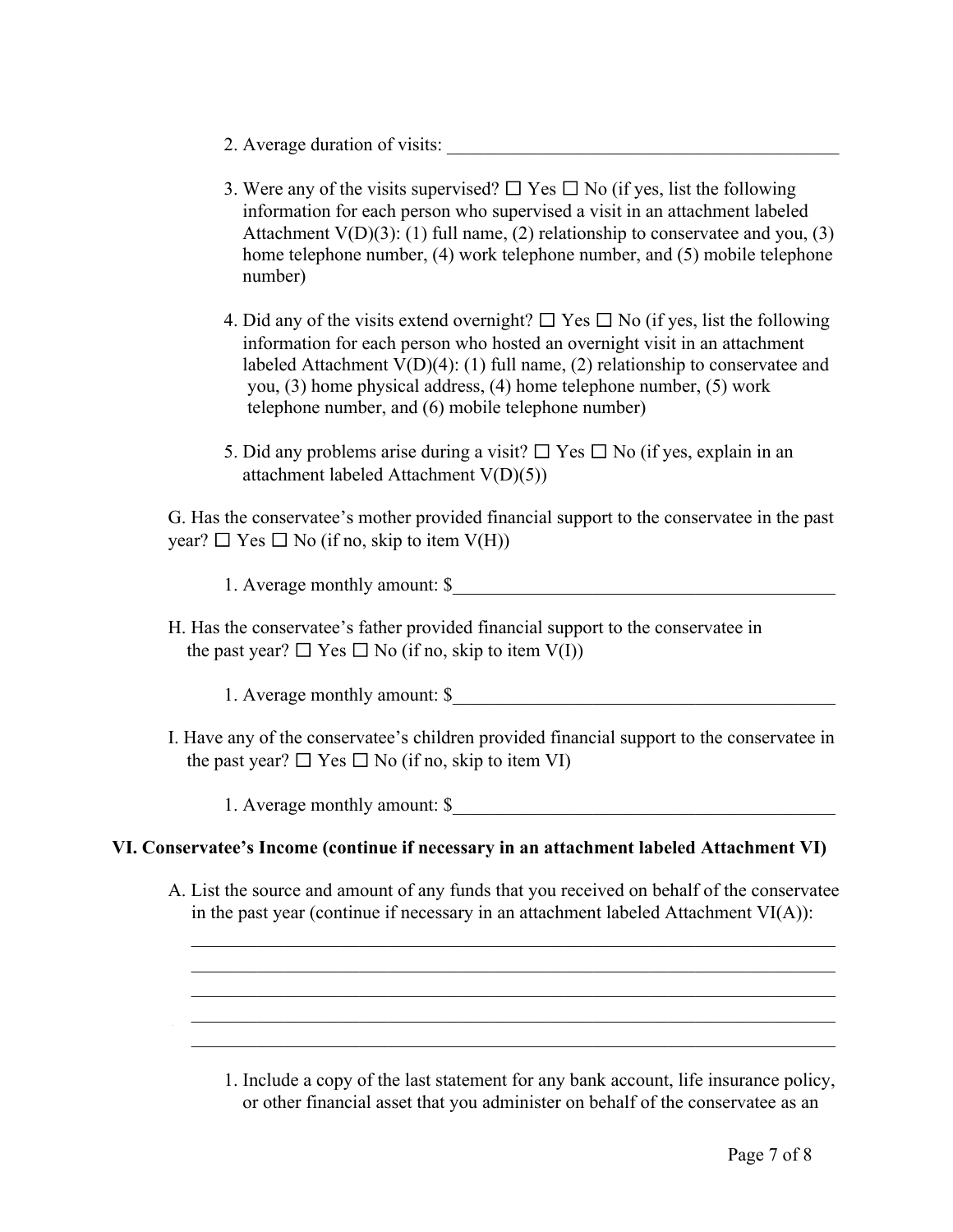- 2. Average duration of visits:
- 3. Were any of the visits supervised?  $\Box$  Yes  $\Box$  No (if yes, list the following information for each person who supervised a visit in an attachment labeled Attachment  $V(D)(3)$ : (1) full name, (2) relationship to conservatee and you, (3) home telephone number, (4) work telephone number, and (5) mobile telephone number)
- 4. Did any of the visits extend overnight?  $\Box$  Yes  $\Box$  No (if yes, list the following information for each person who hosted an overnight visit in an attachment labeled Attachment V(D)(4): (1) full name, (2) relationship to conservatee and you, (3) home physical address, (4) home telephone number, (5) work telephone number, and (6) mobile telephone number)
- 5. Did any problems arise during a visit?  $\Box$  Yes  $\Box$  No (if yes, explain in an attachment labeled Attachment V(D)(5))

G. Has the conservatee's mother provided financial support to the conservatee in the past year?  $\Box$  Yes  $\Box$  No (if no, skip to item V(H))

1. Average monthly amount: \$

H. Has the conservatee's father provided financial support to the conservatee in the past year?  $\Box$  Yes  $\Box$  No (if no, skip to item V(I))

1. Average monthly amount: \$

I. Have any of the conservatee's children provided financial support to the conservatee in the past year?  $\Box$  Yes  $\Box$  No (if no, skip to item VI)

1. Average monthly amount: \$

### **VI. Conservatee's Income (continue if necessary in an attachment labeled Attachment VI)**

A. List the source and amount of any funds that you received on behalf of the conservatee in the past year (continue if necessary in an attachment labeled Attachment  $VI(A)$ ):

 $\mathcal{L} = \{ \mathcal{L} \mid \mathcal{L} \text{ and } \mathcal{L} \text{ and } \mathcal{L} \}$  $\frac{1}{2}$  ,  $\frac{1}{2}$  ,  $\frac{1}{2}$  ,  $\frac{1}{2}$  ,  $\frac{1}{2}$  ,  $\frac{1}{2}$  ,  $\frac{1}{2}$  ,  $\frac{1}{2}$  ,  $\frac{1}{2}$  ,  $\frac{1}{2}$  ,  $\frac{1}{2}$  ,  $\frac{1}{2}$  ,  $\frac{1}{2}$  ,  $\frac{1}{2}$  ,  $\frac{1}{2}$  ,  $\frac{1}{2}$  ,  $\frac{1}{2}$  ,  $\frac{1}{2}$  ,  $\frac{1$  $\frac{1}{2}$  ,  $\frac{1}{2}$  ,  $\frac{1}{2}$  ,  $\frac{1}{2}$  ,  $\frac{1}{2}$  ,  $\frac{1}{2}$  ,  $\frac{1}{2}$  ,  $\frac{1}{2}$  ,  $\frac{1}{2}$  ,  $\frac{1}{2}$  ,  $\frac{1}{2}$  ,  $\frac{1}{2}$  ,  $\frac{1}{2}$  ,  $\frac{1}{2}$  ,  $\frac{1}{2}$  ,  $\frac{1}{2}$  ,  $\frac{1}{2}$  ,  $\frac{1}{2}$  ,  $\frac{1$  $\frac{1}{2}$  ,  $\frac{1}{2}$  ,  $\frac{1}{2}$  ,  $\frac{1}{2}$  ,  $\frac{1}{2}$  ,  $\frac{1}{2}$  ,  $\frac{1}{2}$  ,  $\frac{1}{2}$  ,  $\frac{1}{2}$  ,  $\frac{1}{2}$  ,  $\frac{1}{2}$  ,  $\frac{1}{2}$  ,  $\frac{1}{2}$  ,  $\frac{1}{2}$  ,  $\frac{1}{2}$  ,  $\frac{1}{2}$  ,  $\frac{1}{2}$  ,  $\frac{1}{2}$  ,  $\frac{1$  $\mathcal{L}_\text{max}$  , and the contribution of the contribution of the contribution of the contribution of the contribution of the contribution of the contribution of the contribution of the contribution of the contribution of t

1. Include a copy of the last statement for any bank account, life insurance policy, or other financial asset that you administer on behalf of the conservatee as an